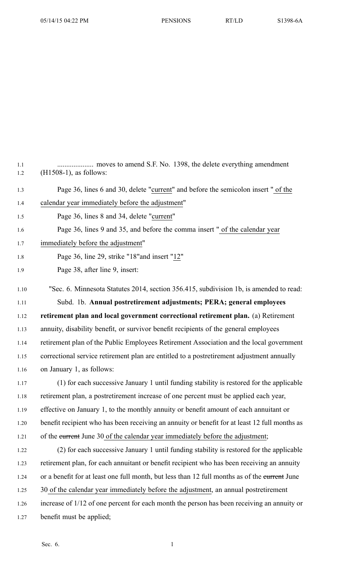| 1.1<br>1.2 | moves to amend S.F. No. 1398, the delete everything amendment<br>(H1508-1), as follows:       |
|------------|-----------------------------------------------------------------------------------------------|
| 1.3        | Page 36, lines 6 and 30, delete "current" and before the semicolon insert " of the            |
| 1.4        | calendar year immediately before the adjustment"                                              |
| 1.5        | Page 36, lines 8 and 34, delete "current"                                                     |
| 1.6        | Page 36, lines 9 and 35, and before the comma insert " of the calendar year                   |
| 1.7        | immediately before the adjustment"                                                            |
| 1.8        | Page 36, line 29, strike "18" and insert "12"                                                 |
| 1.9        | Page 38, after line 9, insert:                                                                |
| 1.10       | "Sec. 6. Minnesota Statutes 2014, section 356.415, subdivision 1b, is amended to read:        |
| 1.11       | Subd. 1b. Annual postretirement adjustments; PERA; general employees                          |
| 1.12       | retirement plan and local government correctional retirement plan. (a) Retirement             |
| 1.13       | annuity, disability benefit, or survivor benefit recipients of the general employees          |
| 1.14       | retirement plan of the Public Employees Retirement Association and the local government       |
| 1.15       | correctional service retirement plan are entitled to a postretirement adjustment annually     |
| 1.16       | on January 1, as follows:                                                                     |
| 1.17       | (1) for each successive January 1 until funding stability is restored for the applicable      |
| 1.18       | retirement plan, a postretirement increase of one percent must be applied each year,          |
| 1.19       | effective on January 1, to the monthly annuity or benefit amount of each annuitant or         |
| 1.20       | benefit recipient who has been receiving an annuity or benefit for at least 12 full months as |
| 1.21       | of the eurrent June 30 of the calendar year immediately before the adjustment;                |
| 1.22       | (2) for each successive January 1 until funding stability is restored for the applicable      |
| 1.23       | retirement plan, for each annuitant or benefit recipient who has been receiving an annuity    |
| 1.24       | or a benefit for at least one full month, but less than 12 full months as of the eurrent June |
| 1.25       | 30 of the calendar year immediately before the adjustment, an annual postretirement           |
| 1.26       | increase of 1/12 of one percent for each month the person has been receiving an annuity or    |
| 1.27       | benefit must be applied;                                                                      |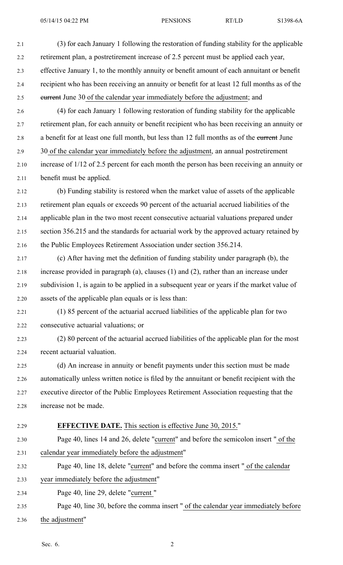05/14/15 04:22 PM PENSIONS RT/LD S1398-6A

2.1 (3) for each January 1 following the restoration of funding stability for the applicable 2.2 retirement plan, <sup>a</sup> postretirement increase of 2.5 percen<sup>t</sup> must be applied each year, 2.3 effective January 1, to the monthly annuity or benefit amount of each annuitant or benefit 2.4 recipient who has been receiving an annuity or benefit for at least 12 full months as of the 2.5 current June 30 of the calendar year immediately before the adjustment; and 2.6 (4) for each January 1 following restoration of funding stability for the applicable 2.7 retirement plan, for each annuity or benefit recipient who has been receiving an annuity or 2.8 <sup>a</sup> benefit for at least one full month, but less than 12 full months as of the current June 2.9 30 of the calendar year immediately before the adjustment, an annual postretirement 2.10 increase of 1/12 of 2.5 percen<sup>t</sup> for each month the person has been receiving an annuity or 2.11 benefit must be applied. 2.12 (b) Funding stability is restored when the market value of assets of the applicable 2.13 retirement plan equals or exceeds 90 percen<sup>t</sup> of the actuarial accrued liabilities of the 2.14 applicable plan in the two most recent consecutive actuarial valuations prepared under 2.15 section 356.215 and the standards for actuarial work by the approved actuary retained by 2.16 the Public Employees Retirement Association under section 356.214. 2.17 (c) After having met the definition of funding stability under paragraph (b), the 2.18 increase provided in paragraph (a), clauses (1) and (2), rather than an increase under 2.19 subdivision 1, is again to be applied in <sup>a</sup> subsequent year or years if the market value of 2.20 assets of the applicable plan equals or is less than: 2.21 (1) 85 percen<sup>t</sup> of the actuarial accrued liabilities of the applicable plan for two 2.22 consecutive actuarial valuations; or 2.23 (2) 80 percen<sup>t</sup> of the actuarial accrued liabilities of the applicable plan for the most 2.24 recent actuarial valuation. 2.25 (d) An increase in annuity or benefit payments under this section must be made 2.26 automatically unless written notice is filed by the annuitant or benefit recipient with the 2.27 executive director of the Public Employees Retirement Association requesting that the 2.28 increase not be made. 2.29 **EFFECTIVE DATE.** This section is effective June 30, 2015." 2.30 Page 40, lines 14 and 26, delete "current" and before the semicolon insert " of the 2.31 calendar year immediately before the adjustment" 2.32 Page 40, line 18, delete "current" and before the comma insert " of the calendar 2.33 year immediately before the adjustment" 2.34 Page 40, line 29, delete "current " 2.35 Page 40, line 30, before the comma insert " of the calendar year immediately before 2.36 the adjustment"